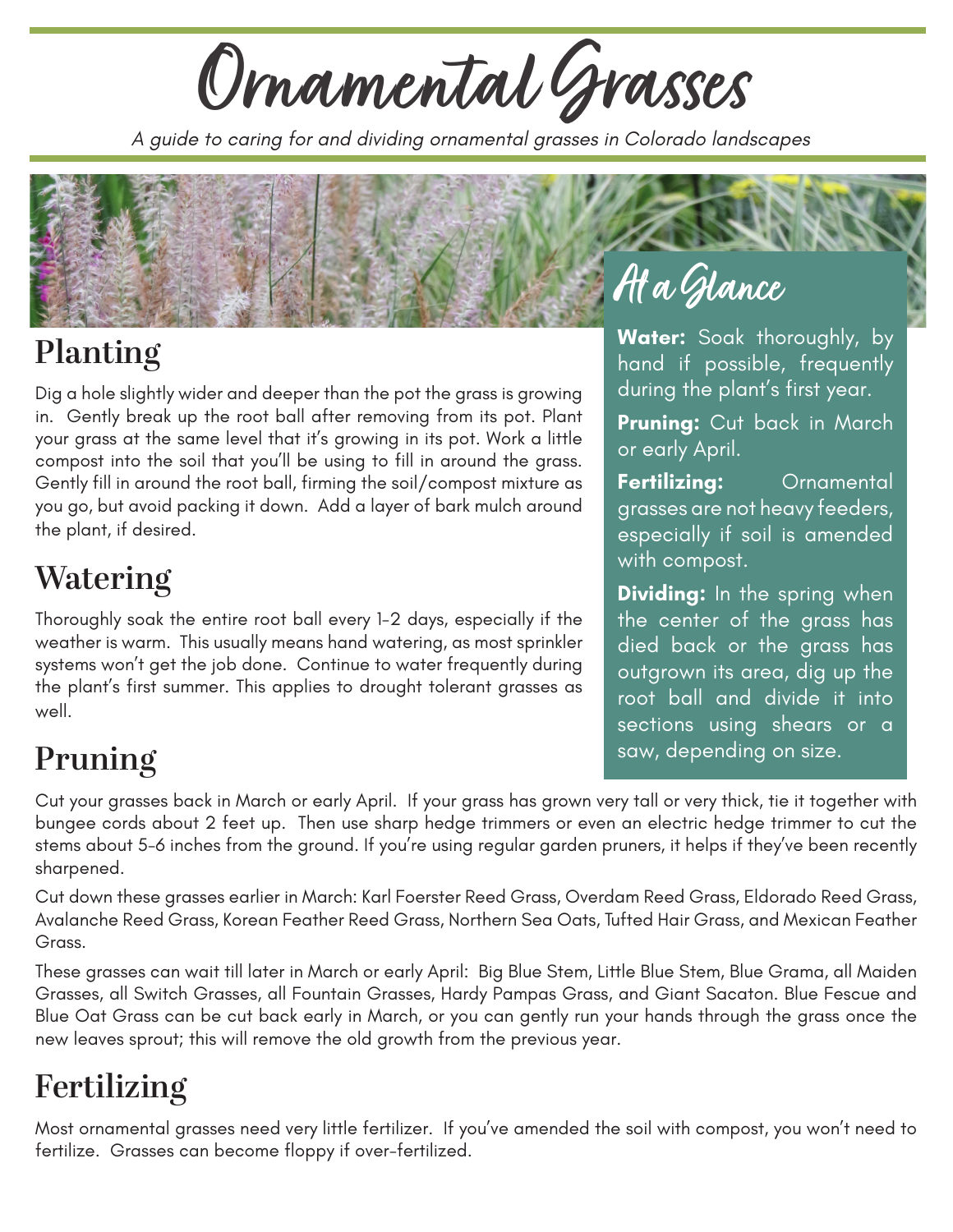**Ornamental Grasses**

*A guide to caring for and dividing ornamental grasses in Colorado landscapes*



# **Planting**

Dig a hole slightly wider and deeper than the pot the grass is growing in. Gently break up the root ball after removing from its pot. Plant your grass at the same level that it's growing in its pot. Work a little compost into the soil that you'll be using to fill in around the grass. Gently fill in around the root ball, firming the soil/compost mixture as you go, but avoid packing it down. Add a layer of bark mulch around the plant, if desired.

## **Watering**

Thoroughly soak the entire root ball every 1-2 days, especially if the weather is warm. This usually means hand watering, as most sprinkler systems won't get the job done. Continue to water frequently during the plant's first summer. This applies to drought tolerant grasses as well.

**Water:** Soak thoroughly, by hand if possible, frequently during the plant's first year.

**Pruning:** Cut back in March or early April.

**Fertilizing:** Ornamental grasses are not heavy feeders, especially if soil is amended with compost.

**Dividing:** In the spring when the center of the grass has died back or the grass has outgrown its area, dig up the root ball and divide it into sections using shears or a saw, depending on size.

# **Pruning**

Cut your grasses back in March or early April. If your grass has grown very tall or very thick, tie it together with bungee cords about 2 feet up. Then use sharp hedge trimmers or even an electric hedge trimmer to cut the stems about 5-6 inches from the ground. If you're using regular garden pruners, it helps if they've been recently sharpened.

Cut down these grasses earlier in March: Karl Foerster Reed Grass, Overdam Reed Grass, Eldorado Reed Grass, Avalanche Reed Grass, Korean Feather Reed Grass, Northern Sea Oats, Tufted Hair Grass, and Mexican Feather Grass.

These grasses can wait till later in March or early April: Big Blue Stem, Little Blue Stem, Blue Grama, all Maiden Grasses, all Switch Grasses, all Fountain Grasses, Hardy Pampas Grass, and Giant Sacaton. Blue Fescue and Blue Oat Grass can be cut back early in March, or you can gently run your hands through the grass once the new leaves sprout; this will remove the old growth from the previous year.

## **Fertilizing**

Most ornamental grasses need very little fertilizer. If you've amended the soil with compost, you won't need to fertilize. Grasses can become floppy if over-fertilized.